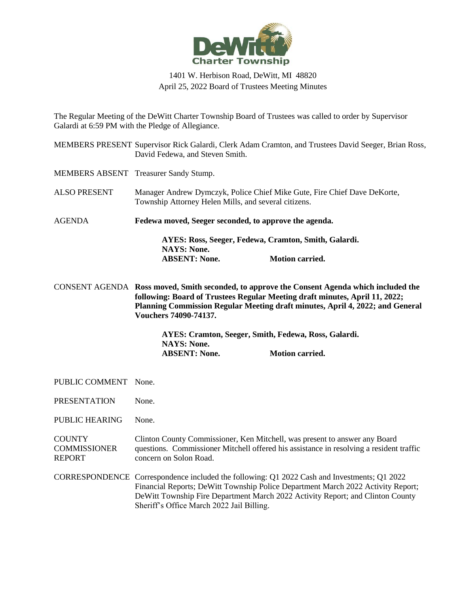

## 1401 W. Herbison Road, DeWitt, MI 48820 April 25, 2022 Board of Trustees Meeting Minutes

The Regular Meeting of the DeWitt Charter Township Board of Trustees was called to order by Supervisor Galardi at 6:59 PM with the Pledge of Allegiance.

|                                                       | MEMBERS PRESENT Supervisor Rick Galardi, Clerk Adam Cramton, and Trustees David Seeger, Brian Ross,<br>David Fedewa, and Steven Smith.                                                                                                                                                                         |                        |  |
|-------------------------------------------------------|----------------------------------------------------------------------------------------------------------------------------------------------------------------------------------------------------------------------------------------------------------------------------------------------------------------|------------------------|--|
|                                                       | MEMBERS ABSENT Treasurer Sandy Stump.                                                                                                                                                                                                                                                                          |                        |  |
| <b>ALSO PRESENT</b>                                   | Manager Andrew Dymczyk, Police Chief Mike Gute, Fire Chief Dave DeKorte,<br>Township Attorney Helen Mills, and several citizens.                                                                                                                                                                               |                        |  |
| <b>AGENDA</b>                                         | Fedewa moved, Seeger seconded, to approve the agenda.<br>AYES: Ross, Seeger, Fedewa, Cramton, Smith, Galardi.                                                                                                                                                                                                  |                        |  |
|                                                       |                                                                                                                                                                                                                                                                                                                |                        |  |
|                                                       | <b>NAYS: None.</b><br><b>ABSENT: None.</b>                                                                                                                                                                                                                                                                     | <b>Motion carried.</b> |  |
|                                                       | CONSENT AGENDA Ross moved, Smith seconded, to approve the Consent Agenda which included the<br>following: Board of Trustees Regular Meeting draft minutes, April 11, 2022;<br>Planning Commission Regular Meeting draft minutes, April 4, 2022; and General<br>Vouchers 74090-74137.                           |                        |  |
|                                                       | AYES: Cramton, Seeger, Smith, Fedewa, Ross, Galardi.<br><b>NAYS: None.</b><br><b>ABSENT: None.</b>                                                                                                                                                                                                             | <b>Motion carried.</b> |  |
| PUBLIC COMMENT None.                                  |                                                                                                                                                                                                                                                                                                                |                        |  |
| <b>PRESENTATION</b>                                   | None.                                                                                                                                                                                                                                                                                                          |                        |  |
| PUBLIC HEARING                                        | None.                                                                                                                                                                                                                                                                                                          |                        |  |
| <b>COUNTY</b><br><b>COMMISSIONER</b><br><b>REPORT</b> | Clinton County Commissioner, Ken Mitchell, was present to answer any Board<br>questions. Commissioner Mitchell offered his assistance in resolving a resident traffic<br>concern on Solon Road.                                                                                                                |                        |  |
|                                                       | CORRESPONDENCE Correspondence included the following: Q1 2022 Cash and Investments; Q1 2022<br>Financial Reports; DeWitt Township Police Department March 2022 Activity Report;<br>DeWitt Township Fire Department March 2022 Activity Report; and Clinton County<br>Sheriff's Office March 2022 Jail Billing. |                        |  |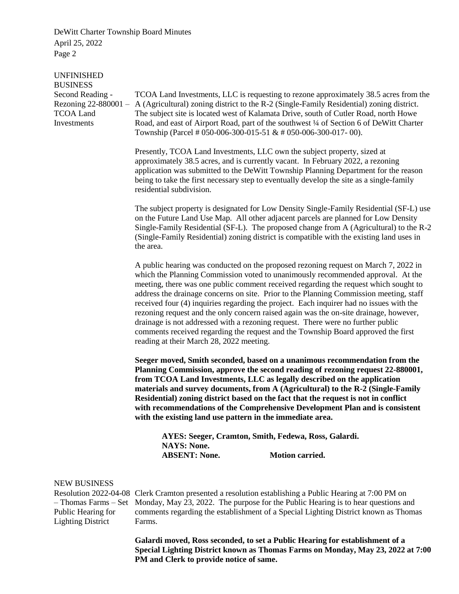DeWitt Charter Township Board Minutes April 25, 2022 Page 2

| <b>UNFINISHED</b><br><b>BUSINESS</b>                                                          |                                                                                                                                                                                                                                                                                                                                                                                                                                                                                                                                                                                                                                                                                                                                                                  |
|-----------------------------------------------------------------------------------------------|------------------------------------------------------------------------------------------------------------------------------------------------------------------------------------------------------------------------------------------------------------------------------------------------------------------------------------------------------------------------------------------------------------------------------------------------------------------------------------------------------------------------------------------------------------------------------------------------------------------------------------------------------------------------------------------------------------------------------------------------------------------|
| Second Reading -<br>Rezoning 22-880001 -<br><b>TCOA Land</b><br>Investments                   | TCOA Land Investments, LLC is requesting to rezone approximately 38.5 acres from the<br>A (Agricultural) zoning district to the R-2 (Single-Family Residential) zoning district.<br>The subject site is located west of Kalamata Drive, south of Cutler Road, north Howe<br>Road, and east of Airport Road, part of the southwest 1/4 of Section 6 of DeWitt Charter<br>Township (Parcel # 050-006-300-015-51 & # 050-006-300-017-00).                                                                                                                                                                                                                                                                                                                           |
|                                                                                               | Presently, TCOA Land Investments, LLC own the subject property, sized at<br>approximately 38.5 acres, and is currently vacant. In February 2022, a rezoning<br>application was submitted to the DeWitt Township Planning Department for the reason<br>being to take the first necessary step to eventually develop the site as a single-family<br>residential subdivision.                                                                                                                                                                                                                                                                                                                                                                                       |
|                                                                                               | The subject property is designated for Low Density Single-Family Residential (SF-L) use<br>on the Future Land Use Map. All other adjacent parcels are planned for Low Density<br>Single-Family Residential (SF-L). The proposed change from A (Agricultural) to the R-2<br>(Single-Family Residential) zoning district is compatible with the existing land uses in<br>the area.                                                                                                                                                                                                                                                                                                                                                                                 |
|                                                                                               | A public hearing was conducted on the proposed rezoning request on March 7, 2022 in<br>which the Planning Commission voted to unanimously recommended approval. At the<br>meeting, there was one public comment received regarding the request which sought to<br>address the drainage concerns on site. Prior to the Planning Commission meeting, staff<br>received four (4) inquiries regarding the project. Each inquirer had no issues with the<br>rezoning request and the only concern raised again was the on-site drainage, however,<br>drainage is not addressed with a rezoning request. There were no further public<br>comments received regarding the request and the Township Board approved the first<br>reading at their March 28, 2022 meeting. |
|                                                                                               | Seeger moved, Smith seconded, based on a unanimous recommendation from the<br>Planning Commission, approve the second reading of rezoning request 22-880001,<br>from TCOA Land Investments, LLC as legally described on the application<br>materials and survey documents, from A (Agricultural) to the R-2 (Single-Family<br>Residential) zoning district based on the fact that the request is not in conflict<br>with recommendations of the Comprehensive Development Plan and is consistent<br>with the existing land use pattern in the immediate area.                                                                                                                                                                                                    |
|                                                                                               | AYES: Seeger, Cramton, Smith, Fedewa, Ross, Galardi.<br><b>NAYS: None.</b><br><b>ABSENT: None.</b><br><b>Motion carried.</b>                                                                                                                                                                                                                                                                                                                                                                                                                                                                                                                                                                                                                                     |
| <b>NEW BUSINESS</b><br>- Thomas Farms - Set<br>Public Hearing for<br><b>Lighting District</b> | Resolution 2022-04-08 Clerk Cramton presented a resolution establishing a Public Hearing at 7:00 PM on<br>Monday, May 23, 2022. The purpose for the Public Hearing is to hear questions and<br>comments regarding the establishment of a Special Lighting District known as Thomas<br>Farms.                                                                                                                                                                                                                                                                                                                                                                                                                                                                     |

**Galardi moved, Ross seconded, to set a Public Hearing for establishment of a Special Lighting District known as Thomas Farms on Monday, May 23, 2022 at 7:00 PM and Clerk to provide notice of same.**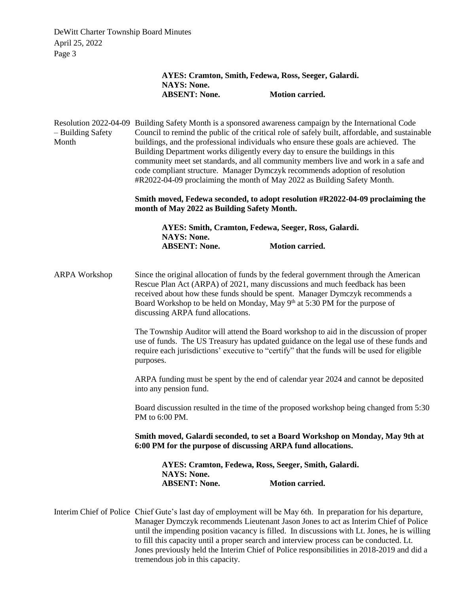DeWitt Charter Township Board Minutes April 25, 2022 Page 3

|                            | AYES: Cramton, Smith, Fedewa, Ross, Seeger, Galardi.                                                                                                                                                                                                                                                                                                                                                                                                                                                                                                                                                                                  |                        |  |  |
|----------------------------|---------------------------------------------------------------------------------------------------------------------------------------------------------------------------------------------------------------------------------------------------------------------------------------------------------------------------------------------------------------------------------------------------------------------------------------------------------------------------------------------------------------------------------------------------------------------------------------------------------------------------------------|------------------------|--|--|
|                            | <b>NAYS: None.</b><br><b>ABSENT: None.</b>                                                                                                                                                                                                                                                                                                                                                                                                                                                                                                                                                                                            | <b>Motion carried.</b> |  |  |
|                            |                                                                                                                                                                                                                                                                                                                                                                                                                                                                                                                                                                                                                                       |                        |  |  |
| - Building Safety<br>Month | Resolution 2022-04-09 Building Safety Month is a sponsored awareness campaign by the International Code<br>Council to remind the public of the critical role of safely built, affordable, and sustainable<br>buildings, and the professional individuals who ensure these goals are achieved. The<br>Building Department works diligently every day to ensure the buildings in this<br>community meet set standards, and all community members live and work in a safe and<br>code compliant structure. Manager Dymczyk recommends adoption of resolution<br>#R2022-04-09 proclaiming the month of May 2022 as Building Safety Month. |                        |  |  |
|                            | Smith moved, Fedewa seconded, to adopt resolution #R2022-04-09 proclaiming the<br>month of May 2022 as Building Safety Month.                                                                                                                                                                                                                                                                                                                                                                                                                                                                                                         |                        |  |  |
|                            | AYES: Smith, Cramton, Fedewa, Seeger, Ross, Galardi.<br><b>NAYS: None.</b>                                                                                                                                                                                                                                                                                                                                                                                                                                                                                                                                                            |                        |  |  |
|                            | <b>ABSENT: None.</b>                                                                                                                                                                                                                                                                                                                                                                                                                                                                                                                                                                                                                  | <b>Motion carried.</b> |  |  |
| <b>ARPA Workshop</b>       | Since the original allocation of funds by the federal government through the American<br>Rescue Plan Act (ARPA) of 2021, many discussions and much feedback has been<br>received about how these funds should be spent. Manager Dymczyk recommends a<br>Board Workshop to be held on Monday, May 9th at 5:30 PM for the purpose of<br>discussing ARPA fund allocations.                                                                                                                                                                                                                                                               |                        |  |  |
|                            | The Township Auditor will attend the Board workshop to aid in the discussion of proper<br>use of funds. The US Treasury has updated guidance on the legal use of these funds and<br>require each jurisdictions' executive to "certify" that the funds will be used for eligible<br>purposes.                                                                                                                                                                                                                                                                                                                                          |                        |  |  |
|                            | ARPA funding must be spent by the end of calendar year 2024 and cannot be deposited<br>into any pension fund.                                                                                                                                                                                                                                                                                                                                                                                                                                                                                                                         |                        |  |  |
|                            | Board discussion resulted in the time of the proposed workshop being changed from 5:30<br>PM to 6:00 PM.                                                                                                                                                                                                                                                                                                                                                                                                                                                                                                                              |                        |  |  |
|                            | Smith moved, Galardi seconded, to set a Board Workshop on Monday, May 9th at<br>6:00 PM for the purpose of discussing ARPA fund allocations.                                                                                                                                                                                                                                                                                                                                                                                                                                                                                          |                        |  |  |
|                            | AYES: Cramton, Fedewa, Ross, Seeger, Smith, Galardi.<br><b>NAYS: None.</b>                                                                                                                                                                                                                                                                                                                                                                                                                                                                                                                                                            |                        |  |  |
|                            | <b>ABSENT: None.</b>                                                                                                                                                                                                                                                                                                                                                                                                                                                                                                                                                                                                                  | Motion carried.        |  |  |
|                            | Interim Chief of Police Chief Gute's last day of employment will be May 6th. In preparation for his departure,<br>Manager Dymczyk recommends Lieutenant Jason Jones to act as Interim Chief of Police                                                                                                                                                                                                                                                                                                                                                                                                                                 |                        |  |  |

until the impending position vacancy is filled. In discussions with Lt. Jones, he is willing to fill this capacity until a proper search and interview process can be conducted. Lt. Jones previously held the Interim Chief of Police responsibilities in 2018-2019 and did a tremendous job in this capacity.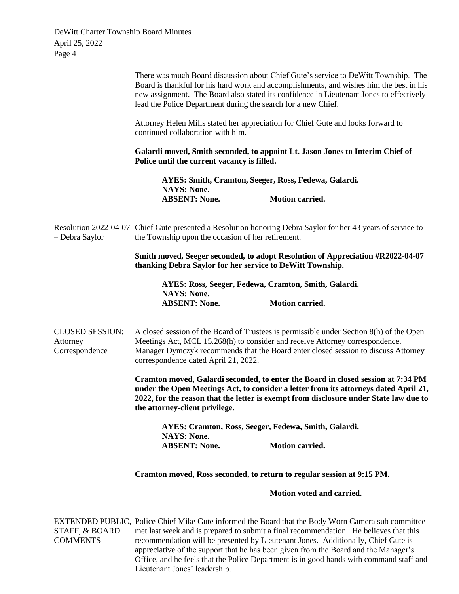| De Witt Charter Township Board Minutes |                               |
|----------------------------------------|-------------------------------|
| April 25, 2022                         |                               |
| Page 4                                 |                               |
|                                        |                               |
|                                        | These cases and $\mathbf D$ . |

|                                                      | There was much Board discussion about Chief Gute's service to DeWitt Township. The<br>Board is thankful for his hard work and accomplishments, and wishes him the best in his<br>new assignment. The Board also stated its confidence in Lieutenant Jones to effectively<br>lead the Police Department during the search for a new Chief.                                                                                                                                                           |                                                                               |  |
|------------------------------------------------------|-----------------------------------------------------------------------------------------------------------------------------------------------------------------------------------------------------------------------------------------------------------------------------------------------------------------------------------------------------------------------------------------------------------------------------------------------------------------------------------------------------|-------------------------------------------------------------------------------|--|
|                                                      | Attorney Helen Mills stated her appreciation for Chief Gute and looks forward to<br>continued collaboration with him.                                                                                                                                                                                                                                                                                                                                                                               |                                                                               |  |
|                                                      | Police until the current vacancy is filled.                                                                                                                                                                                                                                                                                                                                                                                                                                                         | Galardi moved, Smith seconded, to appoint Lt. Jason Jones to Interim Chief of |  |
|                                                      | AYES: Smith, Cramton, Seeger, Ross, Fedewa, Galardi.<br><b>NAYS: None.</b>                                                                                                                                                                                                                                                                                                                                                                                                                          |                                                                               |  |
|                                                      | <b>ABSENT: None.</b>                                                                                                                                                                                                                                                                                                                                                                                                                                                                                | <b>Motion carried.</b>                                                        |  |
| - Debra Saylor                                       | Resolution 2022-04-07 Chief Gute presented a Resolution honoring Debra Saylor for her 43 years of service to<br>the Township upon the occasion of her retirement.                                                                                                                                                                                                                                                                                                                                   |                                                                               |  |
|                                                      | Smith moved, Seeger seconded, to adopt Resolution of Appreciation #R2022-04-07<br>thanking Debra Saylor for her service to DeWitt Township.                                                                                                                                                                                                                                                                                                                                                         |                                                                               |  |
|                                                      | AYES: Ross, Seeger, Fedewa, Cramton, Smith, Galardi.                                                                                                                                                                                                                                                                                                                                                                                                                                                |                                                                               |  |
|                                                      | <b>NAYS: None.</b><br><b>ABSENT: None.</b>                                                                                                                                                                                                                                                                                                                                                                                                                                                          | <b>Motion carried.</b>                                                        |  |
| <b>CLOSED SESSION:</b><br>Attorney<br>Correspondence | A closed session of the Board of Trustees is permissible under Section 8(h) of the Open<br>Meetings Act, MCL 15.268(h) to consider and receive Attorney correspondence.<br>Manager Dymczyk recommends that the Board enter closed session to discuss Attorney<br>correspondence dated April 21, 2022.                                                                                                                                                                                               |                                                                               |  |
|                                                      | Cramton moved, Galardi seconded, to enter the Board in closed session at 7:34 PM<br>under the Open Meetings Act, to consider a letter from its attorneys dated April 21,<br>2022, for the reason that the letter is exempt from disclosure under State law due to<br>the attorney-client privilege.<br>AYES: Cramton, Ross, Seeger, Fedewa, Smith, Galardi.                                                                                                                                         |                                                                               |  |
|                                                      |                                                                                                                                                                                                                                                                                                                                                                                                                                                                                                     |                                                                               |  |
|                                                      | <b>NAYS: None.</b><br><b>ABSENT: None.</b>                                                                                                                                                                                                                                                                                                                                                                                                                                                          | <b>Motion carried.</b>                                                        |  |
|                                                      | Cramton moved, Ross seconded, to return to regular session at 9:15 PM.                                                                                                                                                                                                                                                                                                                                                                                                                              |                                                                               |  |
|                                                      |                                                                                                                                                                                                                                                                                                                                                                                                                                                                                                     | Motion voted and carried.                                                     |  |
| STAFF, & BOARD<br><b>COMMENTS</b>                    | EXTENDED PUBLIC, Police Chief Mike Gute informed the Board that the Body Worn Camera sub committee<br>met last week and is prepared to submit a final recommendation. He believes that this<br>recommendation will be presented by Lieutenant Jones. Additionally, Chief Gute is<br>appreciative of the support that he has been given from the Board and the Manager's<br>Office, and he feels that the Police Department is in good hands with command staff and<br>Lieutenant Jones' leadership. |                                                                               |  |